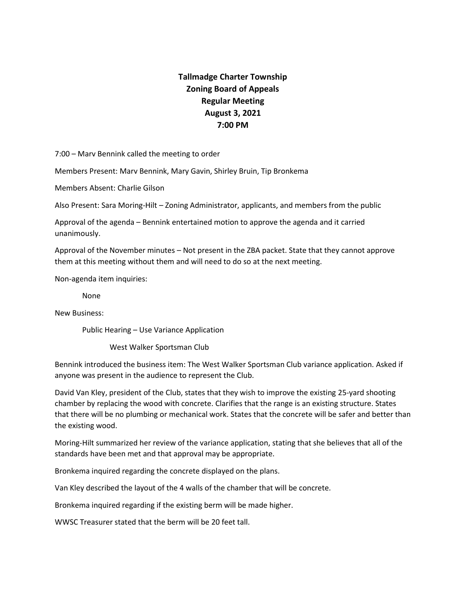## **Tallmadge Charter Township Zoning Board of Appeals Regular Meeting August 3, 2021 7:00 PM**

7:00 – Marv Bennink called the meeting to order

Members Present: Marv Bennink, Mary Gavin, Shirley Bruin, Tip Bronkema

Members Absent: Charlie Gilson

Also Present: Sara Moring-Hilt – Zoning Administrator, applicants, and members from the public

Approval of the agenda – Bennink entertained motion to approve the agenda and it carried unanimously.

Approval of the November minutes – Not present in the ZBA packet. State that they cannot approve them at this meeting without them and will need to do so at the next meeting.

Non-agenda item inquiries:

None

New Business:

Public Hearing – Use Variance Application

West Walker Sportsman Club

Bennink introduced the business item: The West Walker Sportsman Club variance application. Asked if anyone was present in the audience to represent the Club.

David Van Kley, president of the Club, states that they wish to improve the existing 25-yard shooting chamber by replacing the wood with concrete. Clarifies that the range is an existing structure. States that there will be no plumbing or mechanical work. States that the concrete will be safer and better than the existing wood.

Moring-Hilt summarized her review of the variance application, stating that she believes that all of the standards have been met and that approval may be appropriate.

Bronkema inquired regarding the concrete displayed on the plans.

Van Kley described the layout of the 4 walls of the chamber that will be concrete.

Bronkema inquired regarding if the existing berm will be made higher.

WWSC Treasurer stated that the berm will be 20 feet tall.